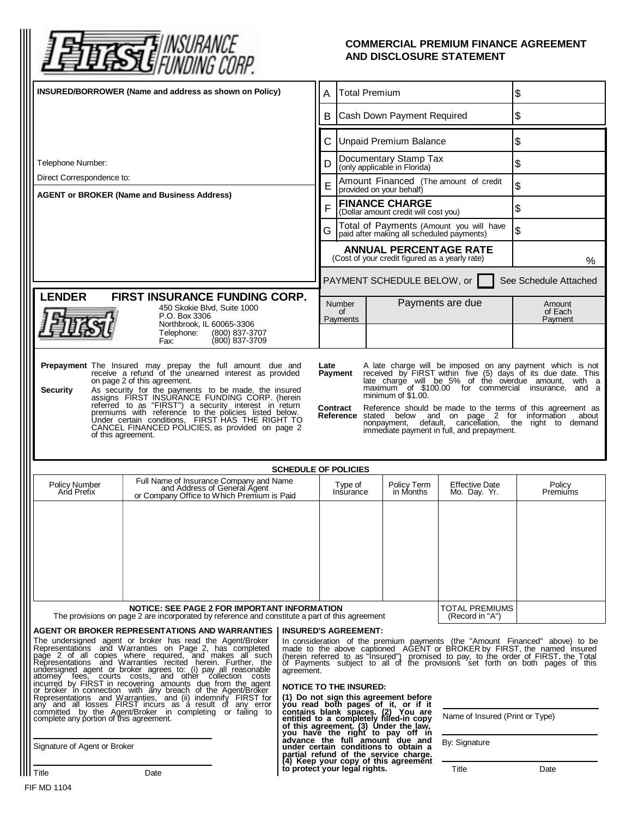

## **COMMERCIAL PREMIUM FINANCE AGREEMENT AND DISCLOSURE STATEMENT**

| INSURED/BORROWER (Name and address as shown on Policy)                                                                                                                                                                                                                                                                                                                                                                                                                                                                                                                                                                                                                                                                                                                                                                                                                                                                        |                                                                                                                                                                                                                                                                                                                                                                                                                                                                                                                                                                                                                                                                                                                                                 |                                                                            | <b>Total Premium</b><br>Α                                                       |  |                                                                                                                                                                                                                                       | \$                                                                                   |                                                                                                                                                                                                                                                                                                                             |
|-------------------------------------------------------------------------------------------------------------------------------------------------------------------------------------------------------------------------------------------------------------------------------------------------------------------------------------------------------------------------------------------------------------------------------------------------------------------------------------------------------------------------------------------------------------------------------------------------------------------------------------------------------------------------------------------------------------------------------------------------------------------------------------------------------------------------------------------------------------------------------------------------------------------------------|-------------------------------------------------------------------------------------------------------------------------------------------------------------------------------------------------------------------------------------------------------------------------------------------------------------------------------------------------------------------------------------------------------------------------------------------------------------------------------------------------------------------------------------------------------------------------------------------------------------------------------------------------------------------------------------------------------------------------------------------------|----------------------------------------------------------------------------|---------------------------------------------------------------------------------|--|---------------------------------------------------------------------------------------------------------------------------------------------------------------------------------------------------------------------------------------|--------------------------------------------------------------------------------------|-----------------------------------------------------------------------------------------------------------------------------------------------------------------------------------------------------------------------------------------------------------------------------------------------------------------------------|
|                                                                                                                                                                                                                                                                                                                                                                                                                                                                                                                                                                                                                                                                                                                                                                                                                                                                                                                               |                                                                                                                                                                                                                                                                                                                                                                                                                                                                                                                                                                                                                                                                                                                                                 |                                                                            | Cash Down Payment Required<br>B                                                 |  |                                                                                                                                                                                                                                       | \$                                                                                   |                                                                                                                                                                                                                                                                                                                             |
|                                                                                                                                                                                                                                                                                                                                                                                                                                                                                                                                                                                                                                                                                                                                                                                                                                                                                                                               |                                                                                                                                                                                                                                                                                                                                                                                                                                                                                                                                                                                                                                                                                                                                                 |                                                                            | C<br><b>Unpaid Premium Balance</b>                                              |  |                                                                                                                                                                                                                                       | \$                                                                                   |                                                                                                                                                                                                                                                                                                                             |
| Telephone Number:                                                                                                                                                                                                                                                                                                                                                                                                                                                                                                                                                                                                                                                                                                                                                                                                                                                                                                             |                                                                                                                                                                                                                                                                                                                                                                                                                                                                                                                                                                                                                                                                                                                                                 |                                                                            | Documentary Stamp Tax<br>D<br>(only applicable in Florida)                      |  |                                                                                                                                                                                                                                       | \$                                                                                   |                                                                                                                                                                                                                                                                                                                             |
| Direct Correspondence to:                                                                                                                                                                                                                                                                                                                                                                                                                                                                                                                                                                                                                                                                                                                                                                                                                                                                                                     |                                                                                                                                                                                                                                                                                                                                                                                                                                                                                                                                                                                                                                                                                                                                                 |                                                                            | Amount Financed (The amount of credit<br>E<br>provided on your behalf)          |  |                                                                                                                                                                                                                                       | \$                                                                                   |                                                                                                                                                                                                                                                                                                                             |
| <b>AGENT or BROKER (Name and Business Address)</b>                                                                                                                                                                                                                                                                                                                                                                                                                                                                                                                                                                                                                                                                                                                                                                                                                                                                            |                                                                                                                                                                                                                                                                                                                                                                                                                                                                                                                                                                                                                                                                                                                                                 |                                                                            | <b>FINANCE CHARGE</b><br>F<br>(Dollar amount credit will cost you)              |  |                                                                                                                                                                                                                                       | \$                                                                                   |                                                                                                                                                                                                                                                                                                                             |
|                                                                                                                                                                                                                                                                                                                                                                                                                                                                                                                                                                                                                                                                                                                                                                                                                                                                                                                               |                                                                                                                                                                                                                                                                                                                                                                                                                                                                                                                                                                                                                                                                                                                                                 |                                                                            | G                                                                               |  |                                                                                                                                                                                                                                       | Total of Payments (Amount you will have<br>paid after making all scheduled payments) | \$                                                                                                                                                                                                                                                                                                                          |
|                                                                                                                                                                                                                                                                                                                                                                                                                                                                                                                                                                                                                                                                                                                                                                                                                                                                                                                               |                                                                                                                                                                                                                                                                                                                                                                                                                                                                                                                                                                                                                                                                                                                                                 |                                                                            | <b>ANNUAL PERCENTAGE RATE</b><br>(Cost of your credit figured as a yearly rate) |  |                                                                                                                                                                                                                                       | $\%$                                                                                 |                                                                                                                                                                                                                                                                                                                             |
|                                                                                                                                                                                                                                                                                                                                                                                                                                                                                                                                                                                                                                                                                                                                                                                                                                                                                                                               |                                                                                                                                                                                                                                                                                                                                                                                                                                                                                                                                                                                                                                                                                                                                                 |                                                                            | PAYMENT SCHEDULE BELOW, or<br>See Schedule Attached                             |  |                                                                                                                                                                                                                                       |                                                                                      |                                                                                                                                                                                                                                                                                                                             |
| <b>ENDER</b><br><b>FIRST INSURANCE FUNDING CORP.</b><br>450 Skokie Blvd, Suite 1000                                                                                                                                                                                                                                                                                                                                                                                                                                                                                                                                                                                                                                                                                                                                                                                                                                           |                                                                                                                                                                                                                                                                                                                                                                                                                                                                                                                                                                                                                                                                                                                                                 |                                                                            | Payments are due<br><b>Number</b><br>of                                         |  |                                                                                                                                                                                                                                       |                                                                                      | Amount<br>of Each                                                                                                                                                                                                                                                                                                           |
|                                                                                                                                                                                                                                                                                                                                                                                                                                                                                                                                                                                                                                                                                                                                                                                                                                                                                                                               | P.O. Box 3306<br>Northbrook, IL 60065-3306<br>Telephone:<br>(800) 837-3707                                                                                                                                                                                                                                                                                                                                                                                                                                                                                                                                                                                                                                                                      |                                                                            | Payments                                                                        |  |                                                                                                                                                                                                                                       |                                                                                      | Payment                                                                                                                                                                                                                                                                                                                     |
|                                                                                                                                                                                                                                                                                                                                                                                                                                                                                                                                                                                                                                                                                                                                                                                                                                                                                                                               | (800) 837-3709<br>Fax:                                                                                                                                                                                                                                                                                                                                                                                                                                                                                                                                                                                                                                                                                                                          |                                                                            |                                                                                 |  |                                                                                                                                                                                                                                       |                                                                                      |                                                                                                                                                                                                                                                                                                                             |
| A late charge will be imposed on any payment which is not received by FIRST within five (5) days of its due date. This late charge will be 5% of the overdue amount, with a<br>on page 2 of this agreement.<br>maximum of \$100.00 for commercial insurance, and a<br>As security for the payments to be made, the insured<br>assigns FIRST INSURANCE FUNDING CORP. (herein<br>referred to as "FIRST") a security interest in return<br>premiums with reference to the policies listed below.<br><b>Security</b><br>minimum of \$1.00.<br>Contract<br>Reference should be made to the terms of this agreement as<br><b>Reference</b> stated below and on page 2 for information<br>about<br>Under certain conditions, FIRST HAS THE RIGHT TO<br>nonpayment, default, cancellation, the right to demand<br>CANCEL FINANCED POLICIES, as provided on page 2<br>immediate payment in full, and prepayment.<br>of this agreement. |                                                                                                                                                                                                                                                                                                                                                                                                                                                                                                                                                                                                                                                                                                                                                 |                                                                            |                                                                                 |  |                                                                                                                                                                                                                                       |                                                                                      |                                                                                                                                                                                                                                                                                                                             |
|                                                                                                                                                                                                                                                                                                                                                                                                                                                                                                                                                                                                                                                                                                                                                                                                                                                                                                                               |                                                                                                                                                                                                                                                                                                                                                                                                                                                                                                                                                                                                                                                                                                                                                 | <b>SCHEDULE OF POLICIES</b>                                                |                                                                                 |  |                                                                                                                                                                                                                                       |                                                                                      |                                                                                                                                                                                                                                                                                                                             |
| <b>Policy Number</b><br>And Prefix                                                                                                                                                                                                                                                                                                                                                                                                                                                                                                                                                                                                                                                                                                                                                                                                                                                                                            | Full Name of Insurance Company and Name<br>and Address of General Agent<br>or Company Office to Which Premium is Paid                                                                                                                                                                                                                                                                                                                                                                                                                                                                                                                                                                                                                           |                                                                            | Type of<br>Insurance                                                            |  | Policy Term                                                                                                                                                                                                                           | <b>Effective Date</b>                                                                |                                                                                                                                                                                                                                                                                                                             |
|                                                                                                                                                                                                                                                                                                                                                                                                                                                                                                                                                                                                                                                                                                                                                                                                                                                                                                                               |                                                                                                                                                                                                                                                                                                                                                                                                                                                                                                                                                                                                                                                                                                                                                 |                                                                            |                                                                                 |  | in Months                                                                                                                                                                                                                             | Mo. Day. Yr.                                                                         | Policy<br>Premiums                                                                                                                                                                                                                                                                                                          |
|                                                                                                                                                                                                                                                                                                                                                                                                                                                                                                                                                                                                                                                                                                                                                                                                                                                                                                                               | NOTICE: SEE PAGE 2 FOR IMPORTANT INFORMATION                                                                                                                                                                                                                                                                                                                                                                                                                                                                                                                                                                                                                                                                                                    |                                                                            |                                                                                 |  |                                                                                                                                                                                                                                       | TOTAL PREMIUMS                                                                       |                                                                                                                                                                                                                                                                                                                             |
|                                                                                                                                                                                                                                                                                                                                                                                                                                                                                                                                                                                                                                                                                                                                                                                                                                                                                                                               | The provisions on page 2 are incorporated by reference and constitute a part of this agreement                                                                                                                                                                                                                                                                                                                                                                                                                                                                                                                                                                                                                                                  |                                                                            |                                                                                 |  |                                                                                                                                                                                                                                       | (Record in "A")                                                                      |                                                                                                                                                                                                                                                                                                                             |
| complete any portion of this agreement.                                                                                                                                                                                                                                                                                                                                                                                                                                                                                                                                                                                                                                                                                                                                                                                                                                                                                       | AGENT OR BROKER REPRESENTATIONS AND WARRANTIES<br>The undersigned agent or broker has read the Agent/Broker<br>Representations and Warranties on Page 2, has completed<br>page 2 of all copies where required, and makes all such Representations and Warranties recited herein. Further, the<br>undersigned agent or broker agrees to: (i) pay all reasonable<br>attorney fees, courts costs, and other collection costs<br>incurred by FIRST in recovering amounts due from the agent<br>or broker in connection with any breach of the Agent/Broker<br>Representations and Warranties, and (ii) indemnify FIRST for<br>any and all losses FIRST incurs as a result of any error<br>committed by the Agent/Broker in completing or failing to | <b>INSURED'S AGREEMENT:</b><br>agreement.<br><b>NOTICE TO THE INSURED:</b> |                                                                                 |  | (1) Do not sign this agreement before<br>you read both pages of it, or if it<br>contains blank spaces. (2) You are<br>entitled to a completely filled-in copy                                                                         | Name of Insured (Print or Type)                                                      | In consideration of the premium payments (the "Amount Financed" above) to be<br>made to the above captioned AGENT or BROKER by FIRST, the named insured (herein referred to as "Insured") promised to pay, to the order of FIRST, the Total<br>of Payments subject to all of the provisions set forth on both pages of this |
| Signature of Agent or Broker                                                                                                                                                                                                                                                                                                                                                                                                                                                                                                                                                                                                                                                                                                                                                                                                                                                                                                  |                                                                                                                                                                                                                                                                                                                                                                                                                                                                                                                                                                                                                                                                                                                                                 |                                                                            |                                                                                 |  | of this agreement. (3) Under the law,<br>you have the right to pay off in<br>advance the full amount due and<br>under certain conditions to obtain a<br>partial refund of the service charge.<br>(4) Keep your copy of this agreement | By: Signature                                                                        |                                                                                                                                                                                                                                                                                                                             |